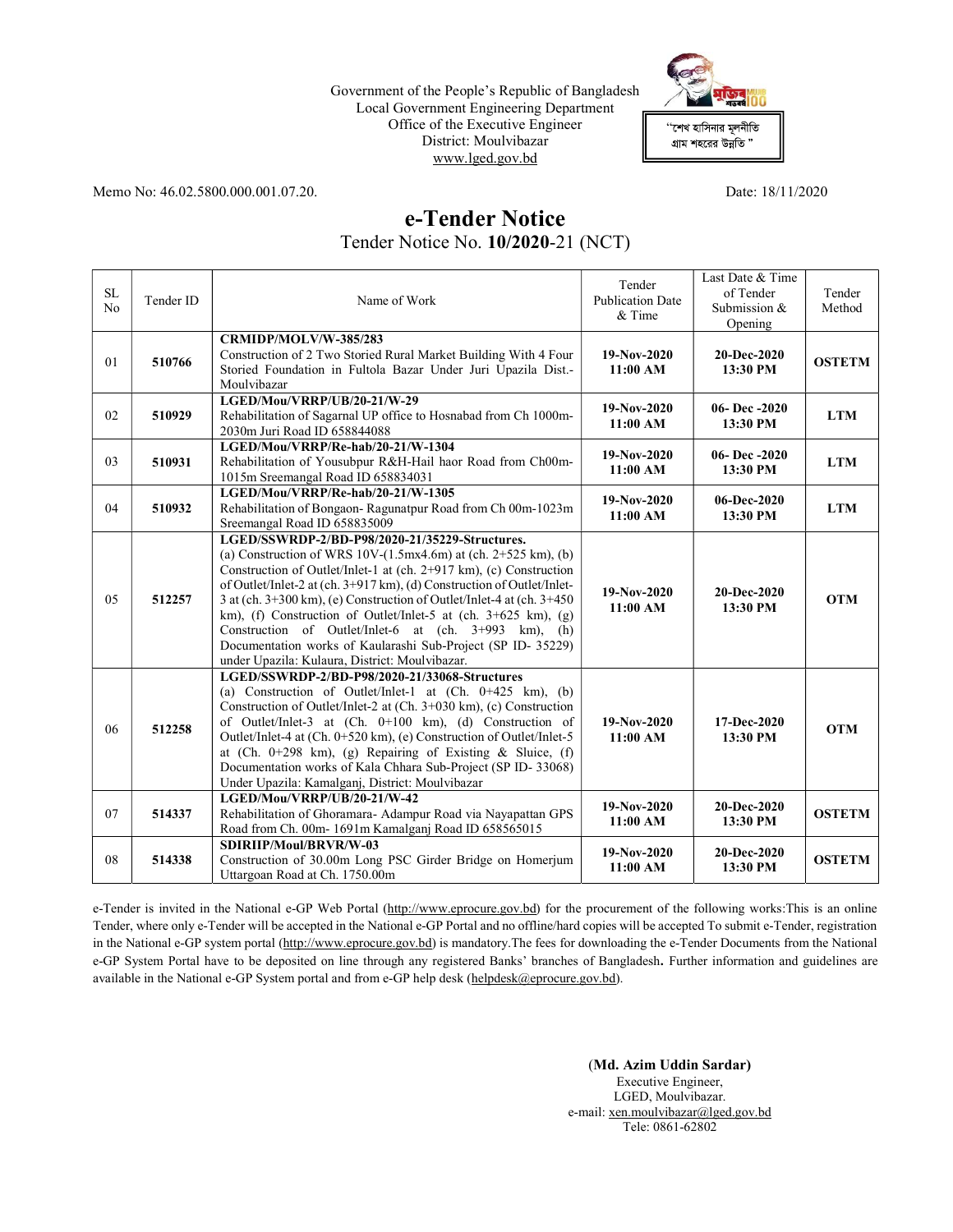## Government of the People's Republic of Bangladesh Local Government Engineering Department Office of the Executive Engineer District: Moulvibazar www.lged.gov.bd



Memo No: 46.02.5800.000.001.07.20. Date: 18/11/2020

## e-Tender Notice

Tender Notice No. 10/2020-21 (NCT)

| <b>SL</b><br>N <sub>o</sub> | Tender ID | Name of Work                                                                                                                                                                                                                                                                                                                                                                                                                                                                                                                                                                                     | Tender<br><b>Publication Date</b><br>$&$ Time | Last Date & Time<br>of Tender<br>Submission &<br>Opening | Tender<br>Method |
|-----------------------------|-----------|--------------------------------------------------------------------------------------------------------------------------------------------------------------------------------------------------------------------------------------------------------------------------------------------------------------------------------------------------------------------------------------------------------------------------------------------------------------------------------------------------------------------------------------------------------------------------------------------------|-----------------------------------------------|----------------------------------------------------------|------------------|
| 01                          | 510766    | CRMIDP/MOLV/W-385/283<br>Construction of 2 Two Storied Rural Market Building With 4 Four<br>Storied Foundation in Fultola Bazar Under Juri Upazila Dist.-<br>Moulvibazar                                                                                                                                                                                                                                                                                                                                                                                                                         | 19-Nov-2020<br>11:00 AM                       | 20-Dec-2020<br>13:30 PM                                  | <b>OSTETM</b>    |
| 02                          | 510929    | LGED/Mou/VRRP/UB/20-21/W-29<br>Rehabilitation of Sagarnal UP office to Hosnabad from Ch 1000m-<br>2030m Juri Road ID 658844088                                                                                                                                                                                                                                                                                                                                                                                                                                                                   | 19-Nov-2020<br>11:00 AM                       | 06-Dec-2020<br>13:30 PM                                  | <b>LTM</b>       |
| 03                          | 510931    | LGED/Mou/VRRP/Re-hab/20-21/W-1304<br>Rehabilitation of Yousubpur R&H-Hail haor Road from Ch00m-<br>1015m Sreemangal Road ID 658834031                                                                                                                                                                                                                                                                                                                                                                                                                                                            | 19-Nov-2020<br>11:00 AM                       | 06-Dec $-2020$<br>13:30 PM                               | <b>LTM</b>       |
| 04                          | 510932    | LGED/Mou/VRRP/Re-hab/20-21/W-1305<br>Rehabilitation of Bongaon-Ragunatpur Road from Ch 00m-1023m<br>Sreemangal Road ID 658835009                                                                                                                                                                                                                                                                                                                                                                                                                                                                 | 19-Nov-2020<br>11:00 AM                       | 06-Dec-2020<br>13:30 PM                                  | <b>LTM</b>       |
| 05                          | 512257    | LGED/SSWRDP-2/BD-P98/2020-21/35229-Structures.<br>(a) Construction of WRS 10V- $(1.5mx4.6m)$ at (ch. 2+525 km), (b)<br>Construction of Outlet/Inlet-1 at (ch. 2+917 km), (c) Construction<br>of Outlet/Inlet-2 at (ch. 3+917 km), (d) Construction of Outlet/Inlet-<br>3 at (ch. 3+300 km), (e) Construction of Outlet/Inlet-4 at (ch. 3+450<br>km), (f) Construction of Outlet/Inlet-5 at (ch. $3+625$ km), (g)<br>Construction of Outlet/Inlet-6 at $(ch. 3+993 km)$ , $(h)$<br>Documentation works of Kaularashi Sub-Project (SP ID- 35229)<br>under Upazila: Kulaura, District: Moulvibazar. | 19-Nov-2020<br>11:00 AM                       | 20-Dec-2020<br>13:30 PM                                  | <b>OTM</b>       |
| 06                          | 512258    | LGED/SSWRDP-2/BD-P98/2020-21/33068-Structures<br>(a) Construction of Outlet/Inlet-1 at $(Ch. 0+425 km)$ , (b)<br>Construction of Outlet/Inlet-2 at (Ch. $3+030$ km), (c) Construction<br>of Outlet/Inlet-3 at (Ch. 0+100 km), (d) Construction of<br>Outlet/Inlet-4 at (Ch. 0+520 km), (e) Construction of Outlet/Inlet-5<br>at (Ch. 0+298 km), (g) Repairing of Existing & Sluice, (f)<br>Documentation works of Kala Chhara Sub-Project (SP ID-33068)<br>Under Upazila: Kamalganj, District: Moulvibazar                                                                                       | 19-Nov-2020<br>11:00 AM                       | 17-Dec-2020<br>13:30 PM                                  | <b>OTM</b>       |
| 07                          | 514337    | LGED/Mou/VRRP/UB/20-21/W-42<br>Rehabilitation of Ghoramara- Adampur Road via Nayapattan GPS<br>Road from Ch. 00m-1691m Kamalganj Road ID 658565015                                                                                                                                                                                                                                                                                                                                                                                                                                               | 19-Nov-2020<br>11:00 AM                       | 20-Dec-2020<br>13:30 PM                                  | <b>OSTETM</b>    |
| 08                          | 514338    | SDIRIIP/Moul/BRVR/W-03<br>Construction of 30.00m Long PSC Girder Bridge on Homerjum<br>Uttargoan Road at Ch. 1750.00m                                                                                                                                                                                                                                                                                                                                                                                                                                                                            | 19-Nov-2020<br>11:00 AM                       | 20-Dec-2020<br>13:30 PM                                  | <b>OSTETM</b>    |

e-Tender is invited in the National e-GP Web Portal (http://www.eprocure.gov.bd) for the procurement of the following works:This is an online Tender, where only e-Tender will be accepted in the National e-GP Portal and no offline/hard copies will be accepted To submit e-Tender, registration in the National e-GP system portal (http://www.eprocure.gov.bd) is mandatory. The fees for downloading the e-Tender Documents from the National e-GP System Portal have to be deposited on line through any registered Banks' branches of Bangladesh. Further information and guidelines are available in the National e-GP System portal and from e-GP help desk (helpdesk@eprocure.gov.bd).

> (Md. Azim Uddin Sardar) Executive Engineer, LGED, Moulvibazar. e-mail: xen.moulvibazar@lged.gov.bd Tele: 0861-62802